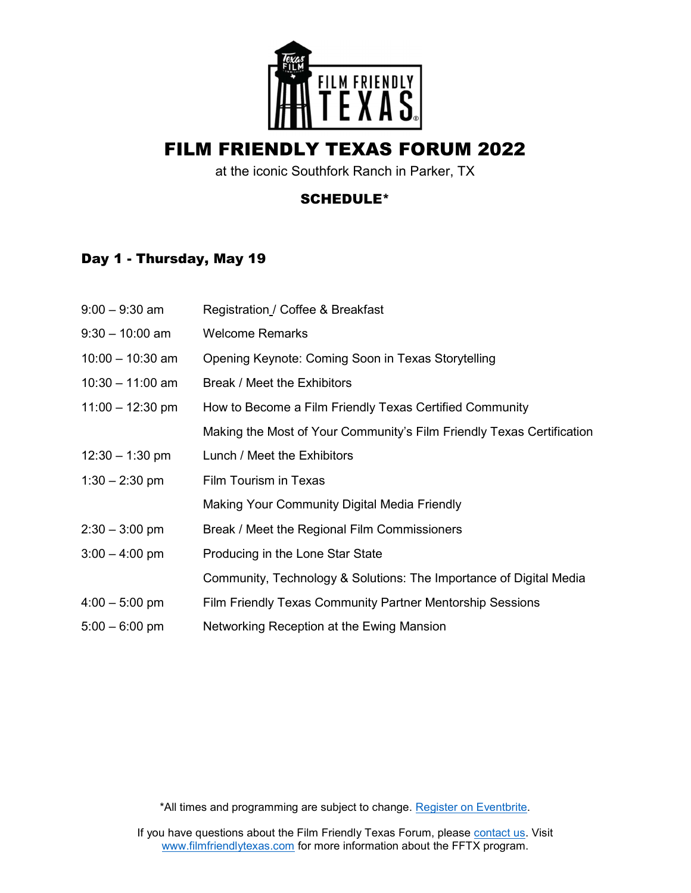

# FILM FRIENDLY TEXAS FORUM 2022

at the iconic Southfork Ranch in Parker, TX

#### SCHEDULE\*

### Day 1 - Thursday, May 19

| $9:00 - 9:30$ am   | Registration / Coffee & Breakfast                                     |
|--------------------|-----------------------------------------------------------------------|
| $9:30 - 10:00$ am  | <b>Welcome Remarks</b>                                                |
| $10:00 - 10:30$ am | Opening Keynote: Coming Soon in Texas Storytelling                    |
| $10:30 - 11:00$ am | Break / Meet the Exhibitors                                           |
| $11:00 - 12:30$ pm | How to Become a Film Friendly Texas Certified Community               |
|                    | Making the Most of Your Community's Film Friendly Texas Certification |
| $12:30 - 1:30$ pm  | Lunch / Meet the Exhibitors                                           |
| $1:30 - 2:30$ pm   | Film Tourism in Texas                                                 |
|                    | Making Your Community Digital Media Friendly                          |
| $2:30 - 3:00$ pm   | Break / Meet the Regional Film Commissioners                          |
| $3:00 - 4:00$ pm   | Producing in the Lone Star State                                      |
|                    | Community, Technology & Solutions: The Importance of Digital Media    |
| $4:00 - 5:00$ pm   | Film Friendly Texas Community Partner Mentorship Sessions             |
| $5:00 - 6:00$ pm   | Networking Reception at the Ewing Mansion                             |
|                    |                                                                       |

\*All times and programming are subject to change. Register on Eventbrite.